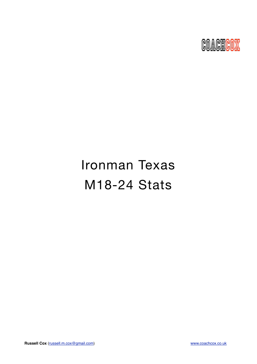

# Ironman Texas M18-24 Stats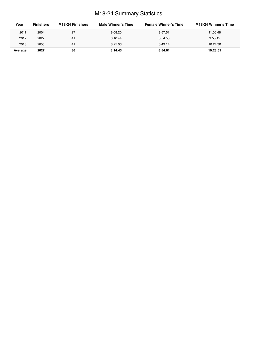# M18-24 Summary Statistics

| Year    | <b>Finishers</b> | M18-24 Finishers | Male Winner's Time | <b>Female Winner's Time</b> | M18-24 Winner's Time |
|---------|------------------|------------------|--------------------|-----------------------------|----------------------|
| 2011    | 2004             | 27               | 8:08:20            | 8:57:51                     | 11:06:48             |
| 2012    | 2022             | 41               | 8:10:44            | 8:54:58                     | 9:55:15              |
| 2013    | 2055             | 41               | 8:25:06            | 8:49:14                     | 10:24:30             |
| Average | 2027             | 36               | 8:14:43            | 8:54:01                     | 10:28:51             |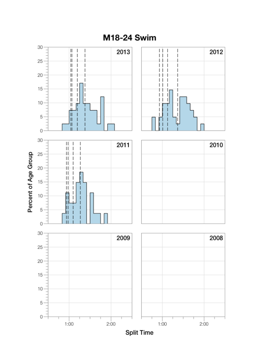

M18-24 Swim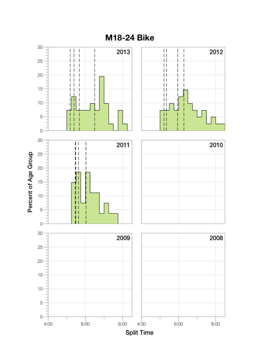

**M18-24 Bike**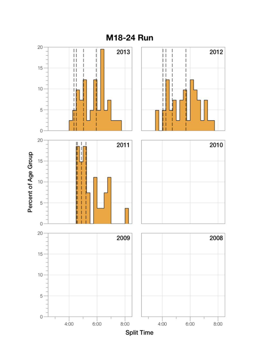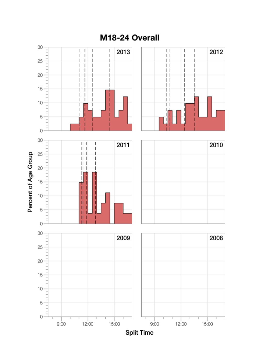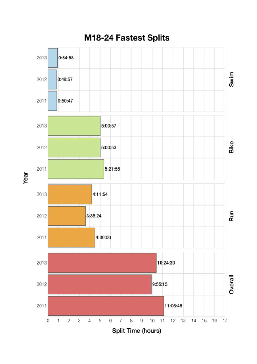

Year

M18-24 Fastest Splits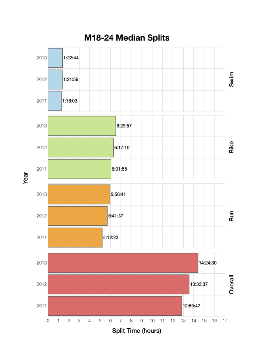

M18-24 Median Splits

Year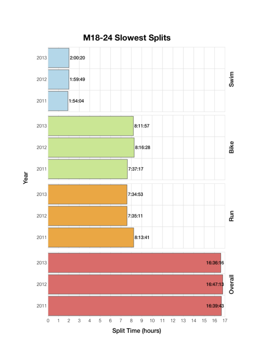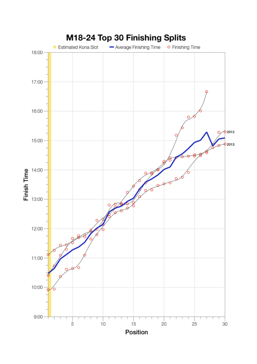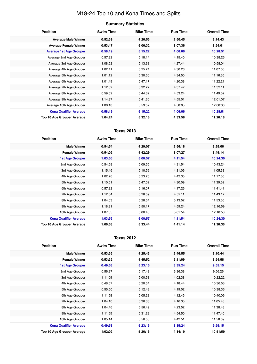# M18-24 Top 10 and Kona Times and Splits

## **Summary Statistics**

| <b>Position</b>                   | <b>Swim Time</b> | <b>Bike Time</b> | <b>Run Time</b> | <b>Overall Time</b> |
|-----------------------------------|------------------|------------------|-----------------|---------------------|
| <b>Average Male Winner</b>        | 0:52:39          | 4:26:55          | 2:50:45         | 8:14:43             |
| <b>Average Female Winner</b>      | 0:53:47          | 5:06:32          | 3:07:36         | 8:54:01             |
| <b>Average 1st Age Grouper</b>    | 0:58:19          | 5:15:22          | 4:06:06         | 10:28:51            |
| Average 2nd Age Grouper           | 0:57:32          | 5:18:14          | 4:15:40         | 10:38:26            |
| Average 3rd Age Grouper           | 1:08:52          | 5:13:33          | 4:27:44         | 10:58:04            |
| Average 4th Age Grouper           | 1:02:41          | 5:25:24          | 4:30:26         | 11:07:06            |
| Average 5th Age Grouper           | 1:01:12          | 5:30:50          | 4:34:50         | 11:16:35            |
| Average 6th Age Grouper           | 1:01:49          | 5:47:17          | 4:20:38         | 11:22:21            |
| Average 7th Age Grouper           | 1:12:52          | 5:32:27          | 4:37:47         | 11:32:11            |
| Average 8th Age Grouper           | 0:59:52          | 5:44:32          | 4:53:24         | 11:49:52            |
| Average 9th Age Grouper           | 1:14:37          | 5:41:30          | 4:55:01         | 12:01:07            |
| Average 10th Age Grouper          | 1:06:18          | 5:53:57          | 4:58:05         | 12:08:30            |
| <b>Kona Qualifier Average</b>     | 0:58:19          | 5:15:22          | 4:06:06         | 10:28:51            |
| <b>Top 10 Age Grouper Average</b> | 1:04:24          | 5:32:18          | 4:33:58         | 11:20:18            |

## **Texas 2013**

| <b>Position</b>               | <b>Swim Time</b> | <b>Bike Time</b> | <b>Run Time</b> | <b>Overall Time</b> |
|-------------------------------|------------------|------------------|-----------------|---------------------|
| <b>Male Winner</b>            | 0:54:54          | 4:29:07          | 2:56:18         | 8:25:06             |
| <b>Female Winner</b>          | 0:54:02          | 4:42:29          | 3:07:27         | 8:49:14             |
| <b>1st Age Grouper</b>        | 1:03:56          | 5:00:57          | 4:11:54         | 10:24:30            |
| 2nd Age Grouper               | 0:54:58          | 5:09:55          | 4:31:54         | 10:43:24            |
| 3rd Age Grouper               | 1:15:46          | 5:10:59          | 4:31:06         | 11:05:33            |
| 4th Age Grouper               | 1:02:26          | 5:23:25          | 4:42:35         | 11:17:55            |
| 5th Age Grouper               | 1:10:51          | 5:47:02          | 4:30:09         | 11:39:52            |
| 6th Age Grouper               | 0:57:32          | 6:16:07          | 4:17:26         | 11:41:41            |
| 7th Age Grouper               | 1:12:54          | 5:28:59          | 4:52:11         | 11:43:17            |
| 8th Age Grouper               | 1:04:03          | 5:28:54          | 5:13:52         | 11:53:55            |
| 9th Age Grouper               | 1:18:31          | 5:50:17          | 4:59:24         | 12:16:59            |
| 10th Age Grouper              | 1:07:55          | 6:00:46          | 5:01:54         | 12:18:58            |
| <b>Kona Qualifier Average</b> | 1:03:56          | 5:00:57          | 4:11:54         | 10:24:30            |
| Top 10 Age Grouper Average    | 1:06:53          | 5:33:44          | 4:41:14         | 11:30:36            |

#### **Texas 2012**

| <b>Position</b>                   | <b>Swim Time</b> | <b>Bike Time</b> | <b>Run Time</b> | <b>Overall Time</b> |
|-----------------------------------|------------------|------------------|-----------------|---------------------|
| <b>Male Winner</b>                | 0:53:36          | 4:25:43          | 2:46:55         | 8:10:44             |
| <b>Female Winner</b>              | 0:53:32          | 4:45:52          | 3:11:09         | 8:54:58             |
| <b>1st Age Grouper</b>            | 0:49:58          | 5:23:16          | 3:35:24         | 9:55:15             |
| 2nd Age Grouper                   | 0:56:27          | 5:17:42          | 3:36:38         | 9:56:26             |
| 3rd Age Grouper                   | 1:11:09          | 5:00:53          | 4:02:38         | 10:22:22            |
| 4th Age Grouper                   | 0:48:57          | 5:20:54          | 4:18:44         | 10:36:53            |
| 5th Age Grouper                   | 0:55:50          | 5:12:48          | 4:19:02         | 10:38:36            |
| 6th Age Grouper                   | 1:11:58          | 5:05:23          | 4:12:45         | 10:40:06            |
| 7th Age Grouper                   | 1:04:10          | 5:36:38          | 4:16:35         | 11:05:43            |
| 8th Age Grouper                   | 1:04:46          | 5:56:49          | 4:23:52         | 11:38:43            |
| 9th Age Grouper                   | 1:11:55          | 5:31:28          | 4:54:50         | 11:47:40            |
| 10th Age Grouper                  | 1:05:14          | 5:56:56          | 4:42:51         | 11:58:09            |
| <b>Kona Qualifier Average</b>     | 0:49:58          | 5:23:16          | 3:35:24         | 9:55:15             |
| <b>Top 10 Age Grouper Average</b> | 1:02:02          | 5:26:16          | 4:14:19         | 10:51:59            |